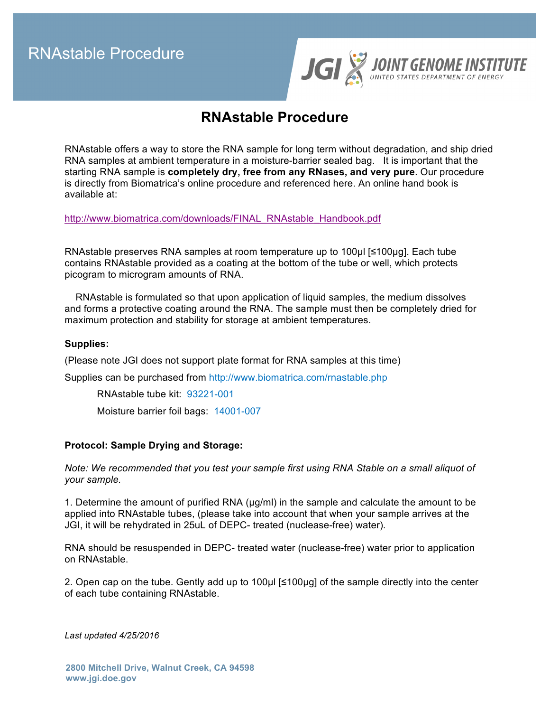RNAstable Procedure



# **RNAstable Procedure**

RNAstable offers a way to store the RNA sample for long term without degradation, and ship dried RNA samples at ambient temperature in a moisture-barrier sealed bag. It is important that the starting RNA sample is **completely dry, free from any RNases, and very pure**. Our procedure is directly from Biomatrica's online procedure and referenced here. An online hand book is available at:

http://www.biomatrica.com/downloads/FINAL\_RNAstable\_Handbook.pdf

RNAstable preserves RNA samples at room temperature up to 100µl [≤100µg]. Each tube contains RNAstable provided as a coating at the bottom of the tube or well, which protects picogram to microgram amounts of RNA.

 RNAstable is formulated so that upon application of liquid samples, the medium dissolves and forms a protective coating around the RNA. The sample must then be completely dried for maximum protection and stability for storage at ambient temperatures.

### **Supplies:**

(Please note JGI does not support plate format for RNA samples at this time)

Supplies can be purchased from http://www.biomatrica.com/rnastable.php

RNAstable tube kit: 93221-001

Moisture barrier foil bags: 14001-007

### **Protocol: Sample Drying and Storage:**

*Note: We recommended that you test your sample first using RNA Stable on a small aliquot of your sample.*

1. Determine the amount of purified RNA (µg/ml) in the sample and calculate the amount to be applied into RNAstable tubes, (please take into account that when your sample arrives at the JGI, it will be rehydrated in 25uL of DEPC- treated (nuclease-free) water).

RNA should be resuspended in DEPC- treated water (nuclease-free) water prior to application on RNAstable.

2. Open cap on the tube. Gently add up to 100µl [≤100µg] of the sample directly into the center of each tube containing RNAstable.

*Last updated 4/25/2016*